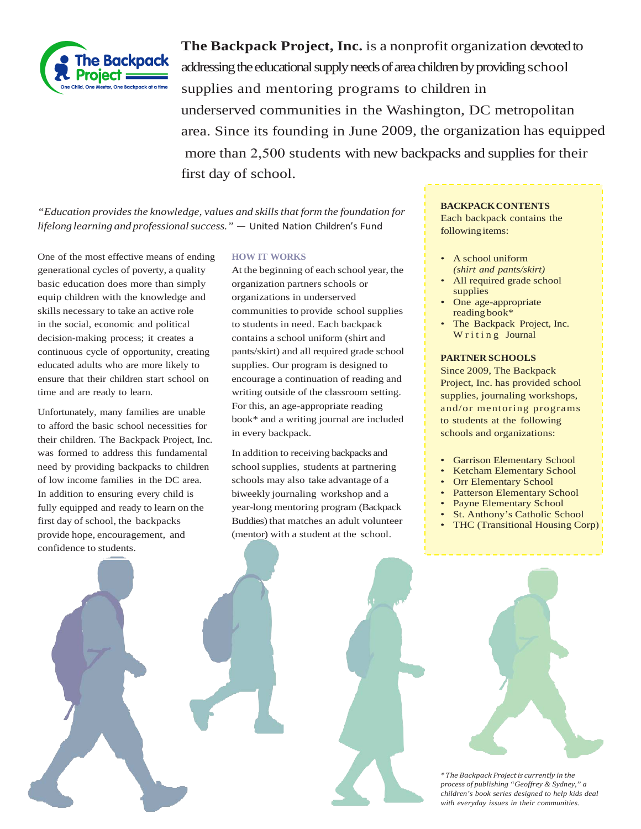

**The Backpack Project, Inc.** is a nonprofit organization devoted to addressing the educational supply needs of area children by providing school supplies and mentoring programs to children in underserved communities in the Washington, DC metropolitan area. Since its founding in June 2009, the organization has equipped more than 2,500 students with new backpacks and supplies for their first day of school.

*"Education providesthe knowledge, values and skillsthat form the foundation for lifelong learning and professionalsuccess."* — United Nation Children's Fund

One of the most effective means of ending generational cycles of poverty, a quality basic education does more than simply equip children with the knowledge and skills necessary to take an active role in the social, economic and political decision-making process; it creates a continuous cycle of opportunity, creating educated adults who are more likely to ensure that their children start school on time and are ready to learn.

Unfortunately, many families are unable to afford the basic school necessities for their children. The Backpack Project, Inc. was formed to address this fundamental need by providing backpacks to children of low income families in the DC area. In addition to ensuring every child is fully equipped and ready to learn on the first day of school, the backpacks provide hope, encouragement, and confidence to students.

# **HOW IT WORKS**

At the beginning of each school year, the organization partners schools or organizations in underserved communities to provide school supplies to students in need. Each backpack contains a school uniform (shirt and pants/skirt) and all required grade school supplies. Our program is designed to encourage a continuation of reading and writing outside of the classroom setting. For this, an age-appropriate reading book\* and a writing journal are included in every backpack.

In addition to receiving backpacks and school supplies, students at partnering schools may also take advantage of a biweekly journaling workshop and a year-long mentoring program (Backpack Buddies) that matches an adult volunteer (mentor) with a student at the school.

#### **BACKPACKCONTENTS**

Each backpack contains the following items:

- A school uniform *(shirt and pants/skirt)*
- All required grade school supplies
- One age-appropriate reading book\*
- The Backpack Project, Inc. Writing Journal

## **PARTNER SCHOOLS**

Since 2009, The Backpack Project, Inc. has provided school supplies, journaling workshops, and/or mentoring programs to students at the following schools and organizations:

- Garrison Elementary School
- Ketcham Elementary School
- Orr Elementary School
- Patterson Elementary School
- Payne Elementary School
- St. Anthony's Catholic School
- THC (Transitional Housing Corp)



*\* The Backpack Projectis currently in the process of publishing "Geoffrey & Sydney," a children's book series designed to help kids deal with everyday issues in their communities.*